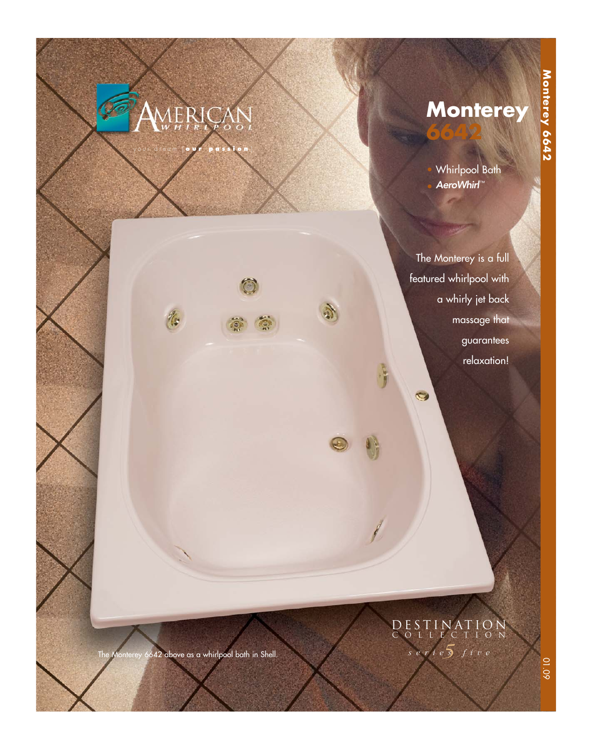# AERICA

16

your dream [ **our passion** ]

**Monterey**

• Whirlpool Bath AeroWhirl™

**6642**

The Monterey is a full featured whirlpool with a whirly jet back massage that guarantees relaxation!

 $\bullet$ 

J.

## *5 series five* DESTINATION COLLECTION

The Monterey 6642 above as a whirlpool bath in Shell.